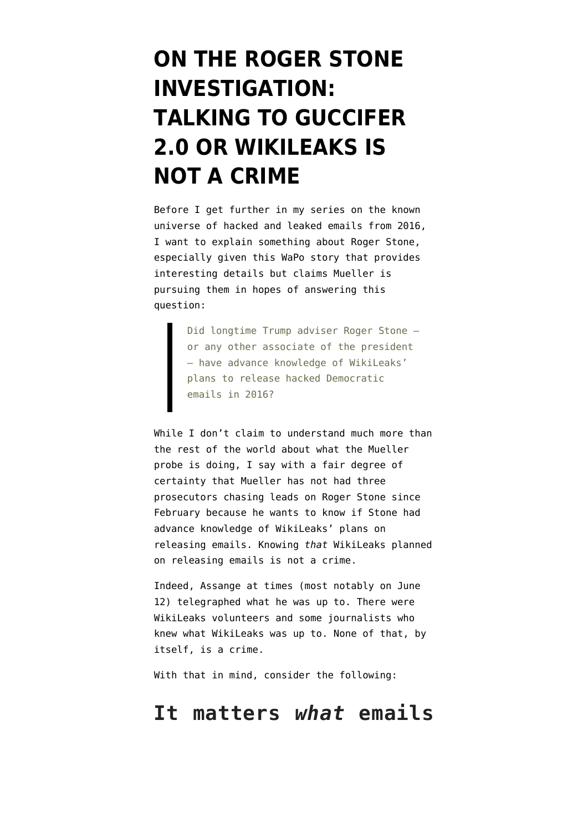# **[ON THE ROGER STONE](https://www.emptywheel.net/2018/10/22/on-the-roger-stone-investigation-talking-to-guccifer-2-0-or-wikileaks-is-not-a-crime/) [INVESTIGATION:](https://www.emptywheel.net/2018/10/22/on-the-roger-stone-investigation-talking-to-guccifer-2-0-or-wikileaks-is-not-a-crime/) [TALKING TO GUCCIFER](https://www.emptywheel.net/2018/10/22/on-the-roger-stone-investigation-talking-to-guccifer-2-0-or-wikileaks-is-not-a-crime/) [2.0 OR WIKILEAKS IS](https://www.emptywheel.net/2018/10/22/on-the-roger-stone-investigation-talking-to-guccifer-2-0-or-wikileaks-is-not-a-crime/) [NOT A CRIME](https://www.emptywheel.net/2018/10/22/on-the-roger-stone-investigation-talking-to-guccifer-2-0-or-wikileaks-is-not-a-crime/)**

Before I get further in my [series](https://www.emptywheel.net/2018/10/21/the-universe-of-hacked-and-leaked-emails-from-2016-dnc-emails/) on the known universe of hacked and leaked emails from 2016, I want to explain something about Roger Stone, especially given this [WaPo story](https://www.washingtonpost.com/politics/special-counsel-examines-conflicting-accounts-as-scrutiny-of-roger-stone-and-wikileaks-deepens/2018/10/21/db9ab1c2-bde5-11e8-be70-52bd11fe18af_story.html) that provides interesting details but claims Mueller is pursuing them in hopes of answering this question:

> Did longtime Trump adviser Roger Stone or any other associate of the president — have advance knowledge of WikiLeaks' plans to release hacked Democratic emails in 2016?

While I don't claim to understand much more than the rest of the world about what the Mueller probe is doing, I say with a fair degree of certainty that Mueller has not had three prosecutors chasing leads on Roger Stone since February because he wants to know if Stone had advance knowledge of WikiLeaks' plans on releasing emails. Knowing *that* WikiLeaks planned on releasing emails is not a crime.

Indeed, Assange at times (most notably on June 12) telegraphed what he was up to. There were WikiLeaks volunteers and some journalists who knew what WikiLeaks was up to. None of that, by itself, is a crime.

With that in mind, consider the following:

#### **It matters** *what* **emails**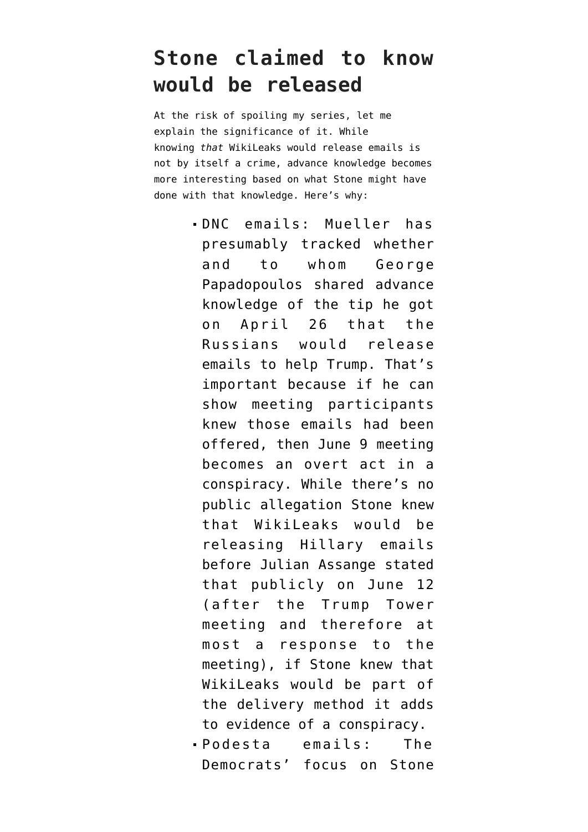### **Stone claimed to know would be released**

At the risk of spoiling my series, let me explain the significance of it. While knowing *that* WikiLeaks would release emails is not by itself a crime, advance knowledge becomes more interesting based on what Stone might have done with that knowledge. Here's why:

- DNC emails: Mueller has presumably tracked whether and to whom George Papadopoulos shared advance knowledge of the tip he got on April 26 that the Russians would release emails to help Trump. That's important because if he can show meeting participants knew those emails had been offered, then June 9 meeting becomes an overt act in a conspiracy. While there's no public allegation Stone knew that WikiLeaks would be releasing Hillary emails before Julian Assange stated that publicly on June 12 (after the Trump Tower meeting and therefore at most a response to the meeting), if Stone knew that WikiLeaks would be part of the delivery method it adds to evidence of a conspiracy.
- Podesta emails: The Democrats' focus on Stone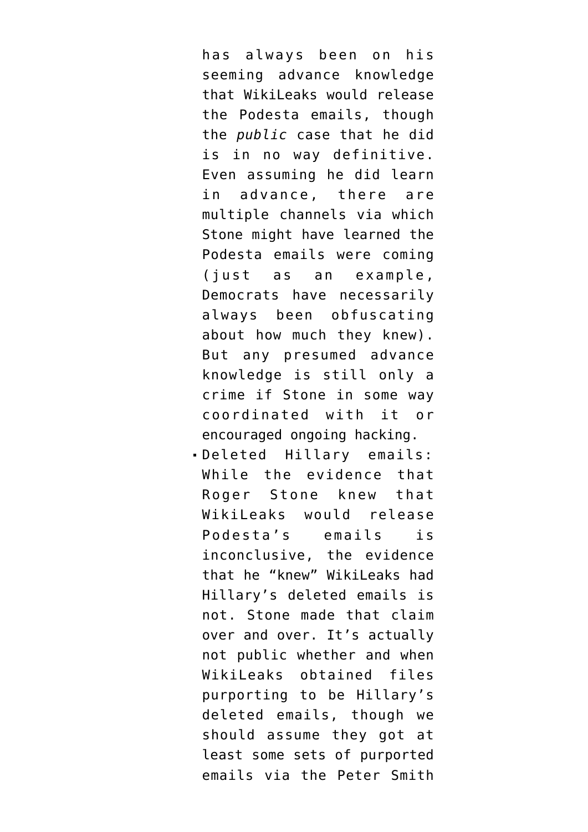has always been on his seeming advance knowledge that WikiLeaks would release the Podesta emails, though the *public* case that he did [is in no way definitive](https://www.emptywheel.net/2017/04/06/the-october-non-surprise/). Even assuming he did learn in advance, there are multiple channels via which Stone might have learned the Podesta emails were coming (just as an example, Democrats have necessarily always been obfuscating about how much they knew). But any presumed advance knowledge is still only a crime if Stone in some way coordinated with it or encouraged ongoing hacking.

Deleted Hillary emails: While the evidence that Roger Stone knew that WikiLeaks would release Podesta's emails is inconclusive, the evidence that he "knew" WikiLeaks had Hillary's deleted emails is not. Stone made that claim over and over. It's actually not public whether and when WikiLeaks obtained files purporting to be Hillary's deleted emails, though we should assume they got at least some sets of purported emails via the Peter Smith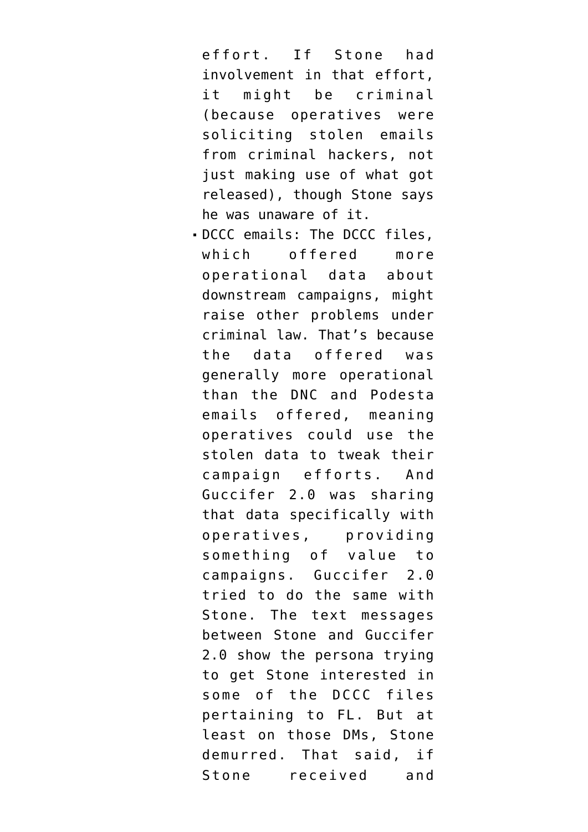effort. If Stone had involvement in that effort, it might be criminal (because operatives were soliciting stolen emails from criminal hackers, not just making use of what got released), though Stone says he was unaware of it.

DCCC emails: The DCCC files, which offered more operational data about downstream campaigns, might raise other problems under criminal law. That's because the data offered was generally more operational than the DNC and Podesta emails offered, meaning operatives could use the stolen data to tweak their campaign efforts. And Guccifer 2.0 was sharing that data specifically with operatives, providing something of value to campaigns. Guccifer 2.0 tried to do the same with Stone. The text messages between Stone and Guccifer 2.0 show the persona trying to get Stone interested in some of the DCCC files pertaining to FL. But at least on those DMs, Stone demurred. That said, if Stone received and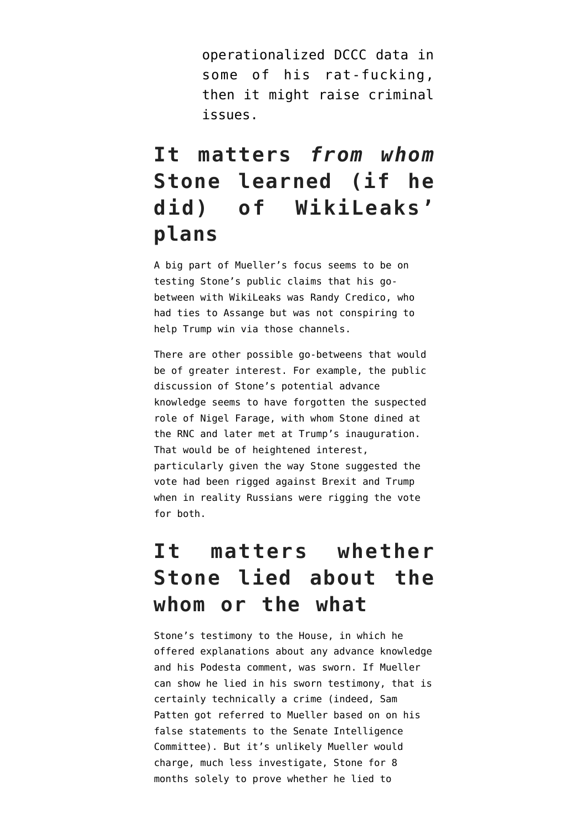operationalized DCCC data in some of his rat-fucking, then it might raise criminal issues.

# **It matters** *from whom* **Stone learned (if he did) of WikiLeaks' plans**

A big part of Mueller's focus seems to be on testing Stone's public claims that his gobetween with WikiLeaks was Randy Credico, who had ties to Assange but was not conspiring to help Trump win via those channels.

There are other possible go-betweens that would be of greater interest. For example, the public discussion of Stone's potential advance knowledge seems to have forgotten the suspected role of Nigel Farage, with whom Stone dined at the RNC and later met at Trump's inauguration. That would be of heightened interest, particularly given the way Stone suggested the vote had been rigged against Brexit and Trump when in reality Russians were rigging the vote for both.

#### **It matters whether Stone lied about the whom or the what**

Stone's testimony to the House, in which he offered explanations about any advance knowledge and his Podesta comment, was sworn. If Mueller can show he lied in his sworn testimony, that is certainly technically a crime (indeed, Sam Patten got referred to Mueller based on on his false statements to the Senate Intelligence Committee). But it's unlikely Mueller would charge, much less investigate, Stone for 8 months solely to prove whether he lied to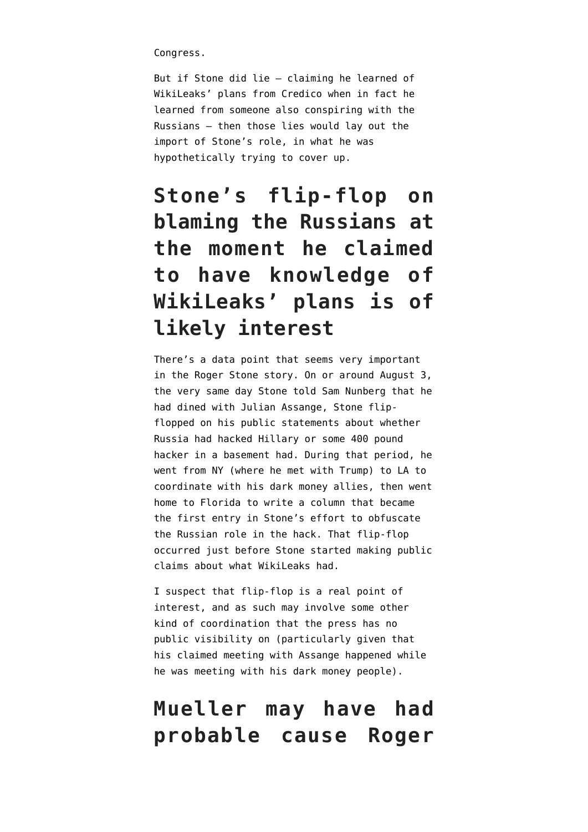Congress.

But if Stone did lie — claiming he learned of WikiLeaks' plans from Credico when in fact he learned from someone also conspiring with the Russians — then those lies would lay out the import of Stone's role, in what he was hypothetically trying to cover up.

# **Stone's flip-flop on blaming the Russians at the moment he claimed to have knowledge of WikiLeaks' plans is of likely interest**

There's a data point that seems very important in the Roger Stone story. On or around August 3, the very same day Stone told Sam Nunberg that he had dined with Julian Assange, Stone [flip](https://www.cnn.com/2018/04/10/politics/roger-stone-2016-comments-russians-wikileaks/index.html)[flopped](https://www.cnn.com/2018/04/10/politics/roger-stone-2016-comments-russians-wikileaks/index.html) on his public statements about whether Russia had hacked Hillary or some 400 pound hacker in a basement had. During that period, he went from NY (where he met with Trump) to LA to coordinate with his dark money allies, then went home to Florida to [write a column](https://www.breitbart.com/politics/2016/08/05/dear-hillary-dnc-hack-solved-so-now-stop-blaming-russia/) that became the first entry in Stone's effort to obfuscate the Russian role in the hack. That flip-flop occurred just before Stone started making public claims about what WikiLeaks had.

I suspect that flip-flop is a real point of interest, and as such may involve some other kind of coordination that the press has no public visibility on (particularly given that his claimed meeting with Assange happened while he was meeting with his dark money people).

#### **Mueller may have had probable cause Roger**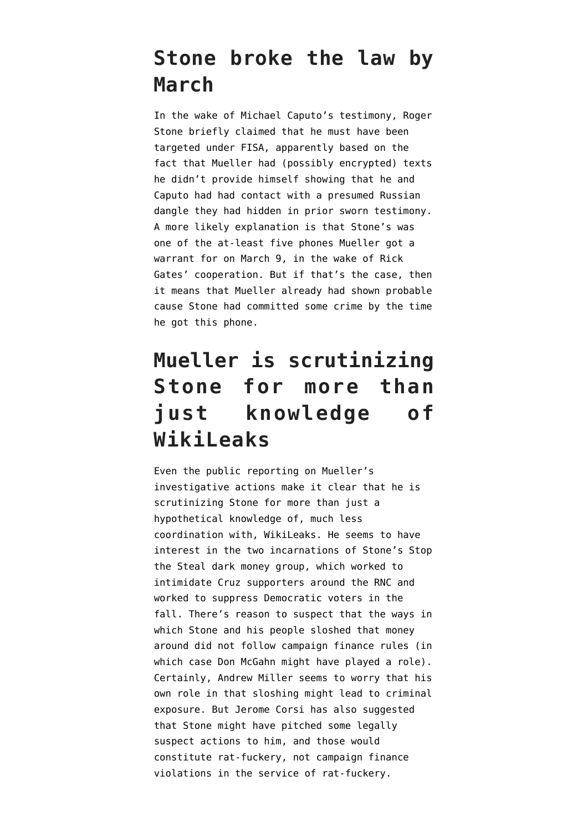#### **Stone broke the law by March**

In the [wake of Michael Caputo's testimony,](https://www.emptywheel.net/2018/06/17/rat-fucker-extraordinaire-roger-stone-seems-to-have-practiced-shitty-opsec-just-like-paul-manafort/) Roger Stone briefly claimed that he must have been targeted under FISA, apparently based on the fact that Mueller had (possibly encrypted) texts he didn't provide himself showing that he and Caputo had had contact with a presumed Russian dangle they had hidden in prior sworn testimony. A more likely explanation is that Stone's was one of the at-least five phones Mueller got a warrant for on March 9, in the wake of Rick Gates' cooperation. But if that's the case, then it means that Mueller already had shown probable cause Stone had committed some crime by the time he got this phone.

# **Mueller is scrutinizing Stone for more than just knowledge of WikiLeaks**

Even the public reporting on Mueller's investigative actions make it clear that he is scrutinizing Stone for more than just a hypothetical knowledge of, much less coordination with, WikiLeaks. He seems to have interest in the two incarnations of Stone's Stop the Steal dark money group, which [worked to](https://www.emptywheel.net/2018/08/28/if-mueller-shows-trump-cheated-to-win-the-primary-will-republicans-turn-on-him/) [intimidate Cruz supporters](https://www.emptywheel.net/2018/08/28/if-mueller-shows-trump-cheated-to-win-the-primary-will-republicans-turn-on-him/) around the RNC and [worked to suppress Democratic voters](https://www.emptywheel.net/2018/08/11/like-a-rat-fucking-stone/) in the fall. There's reason to suspect that the ways in which Stone and his people sloshed that money around did not follow campaign finance rules (in which case Don McGahn [might have played a role\)](https://www.emptywheel.net/2018/08/18/should-trump-run-don-mcgahn-has-been-covering-for-roger-stones-rat-fucking-for-seven-years/). Certainly, Andrew Miller seems to worry that his own role in that sloshing might lead to criminal exposure. But Jerome Corsi has also suggested that Stone might have pitched some legally suspect actions to him, and those would constitute rat-fuckery, not campaign finance violations in the service of rat-fuckery.